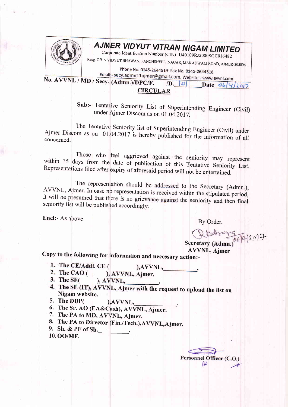

## AJMER VIDYUT VITRAN NIGAM LIMITED

Corporate Identification Number (CIN)- U40109RJ2000SGC016482

Resg. Off. :- VIDYUT BHAWAN, PANCHSHEEL NAGAR, MAKADWALI ROAD, AJMER-305004

Phone No. 0145-2644519 Fax No. 0145-2644518

Email:- secy.admn11ajmer@gmail.com, Website:- www.avvnl.com No. AVVNL / MD / Secy. (Admn.)/DPC/F.  $\sqrt{D}$ ,  $\boxed{O}$ 

|                 | . |
|-----------------|---|
| <b>CIRCULAR</b> |   |

Sub:- Tentative Seniority List of Superintending Engineer (Civil) under Ajmer Discom as on 01.04.2017.

The Tentative Seniority list of Superintending Engineer (Civil) under Ajmer Discom as on 01.04.2017 is hereby published for the information of all concerned.

Those who feel aggrieved against the seniority may represent within 15 days from the date of publication of this Tentative Seniority List. Representations filed after expiry of aforesaid period will not be entertained.

The representation should be addressed to the Secretary (Admn.), AVVNL, Ajmer. In case no representation is received within the stipulated period, it will be presumed that there is no grievance against the seniority and then final seniority list will be published accordingly.

Encl:- As above

By Order,

Rtdre 75692017

Date  $06|4|2012$ 

**AVVNL, Aimer** 

Copy to the following for information and necessary action:-

- 1. The CE/Addl. CE (
- 2. The CAO ( ), AVVNL, Ajmer.
- 3. The  $SE($  $A V N L$ ,
- 4. The SE (IT), AVVNL, Ajmer with the request to upload the list on Nigam website.

), AVVNL,

- 5. The DDP( ), AVVNL,
- 6. The Sr. AO (EA&Cash), AVVNL, Ajmer.
- 7. The PA to MD, AVVNL, Ajmer.
- 8. The PA to Director (Fin./Tech.), AVVNL, Ajmer.
- 9. Sh. & PF of Sh.
- 10.00/MF.

Personnel Officer (C.O.  $\mathcal{U}$